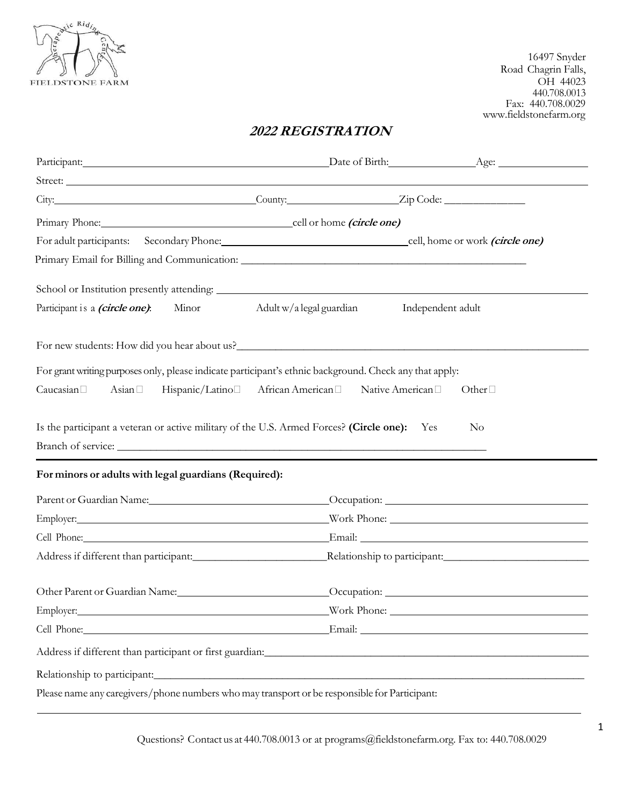

16497 Snyder Road Chagrin Falls, OH 44023 440.708.0013 Fax: 440.708.0029 www.fieldstonefarm.org

# **2022 REGISTRATION**

| City: <u>City: Zip Code:</u>                                                                                                                                                                                                  |                                                                |                                                                                                                                                                                                                                      |
|-------------------------------------------------------------------------------------------------------------------------------------------------------------------------------------------------------------------------------|----------------------------------------------------------------|--------------------------------------------------------------------------------------------------------------------------------------------------------------------------------------------------------------------------------------|
| Primary Phone: cell or home <i>(circle one)</i>                                                                                                                                                                               |                                                                |                                                                                                                                                                                                                                      |
| For adult participants: Secondary Phone: cell, home or work (circle one)                                                                                                                                                      |                                                                |                                                                                                                                                                                                                                      |
|                                                                                                                                                                                                                               |                                                                |                                                                                                                                                                                                                                      |
|                                                                                                                                                                                                                               |                                                                |                                                                                                                                                                                                                                      |
| Participant is a <i>(circle one)</i> : Minor                                                                                                                                                                                  | Adult w/a legal guardian                                       | Independent adult                                                                                                                                                                                                                    |
|                                                                                                                                                                                                                               |                                                                |                                                                                                                                                                                                                                      |
|                                                                                                                                                                                                                               |                                                                |                                                                                                                                                                                                                                      |
| For grant writing purposes only, please indicate participant's ethnic background. Check any that apply:                                                                                                                       |                                                                |                                                                                                                                                                                                                                      |
| Hispanic/Latino <sup>[1]</sup><br>Caucasian <sup>[]</sup><br>Asian $\Box$                                                                                                                                                     | African American <sup>[1]</sup> Native American <sup>[1]</sup> | Other $\Box$                                                                                                                                                                                                                         |
|                                                                                                                                                                                                                               |                                                                |                                                                                                                                                                                                                                      |
| Is the participant a veteran or active military of the U.S. Armed Forces? (Circle one): Yes                                                                                                                                   |                                                                | No                                                                                                                                                                                                                                   |
| Branch of service:                                                                                                                                                                                                            |                                                                |                                                                                                                                                                                                                                      |
|                                                                                                                                                                                                                               |                                                                |                                                                                                                                                                                                                                      |
| For minors or adults with legal guardians (Required):                                                                                                                                                                         |                                                                |                                                                                                                                                                                                                                      |
|                                                                                                                                                                                                                               |                                                                |                                                                                                                                                                                                                                      |
| Parent or Guardian Name: Cocupation: Cocupation: Cocupation:                                                                                                                                                                  |                                                                |                                                                                                                                                                                                                                      |
| Cell Phone: Email: Email: Email: Email: Email: Email: Email: Email: Email: Email: Email: Email: Email: Email: Email: Email: Email: Email: Email: Email: Email: Email: Email: Email: Email: Email: Email: Email: Email: Email: |                                                                |                                                                                                                                                                                                                                      |
|                                                                                                                                                                                                                               |                                                                |                                                                                                                                                                                                                                      |
|                                                                                                                                                                                                                               |                                                                |                                                                                                                                                                                                                                      |
| Other Parent or Guardian Name: Occupation: Occupation: Occupation:                                                                                                                                                            |                                                                |                                                                                                                                                                                                                                      |
| Employer:                                                                                                                                                                                                                     |                                                                | <u>Solution and Solution and Solution and Solution and Solution and Solution and Solution and Solution and Solution and Solution and Solution and Solution and Solution and Solution and Solution and Solution and Solution and </u> |
| Cell Phone: Final: Email: Email: Email: Email: Email: Email: Email: Email: Email: Email: Email: Email: Email: Email: Email: Email: Email: Email: Email: Email: Email: Email: Email: Email: Email: Email: Email: Email: Email: |                                                                |                                                                                                                                                                                                                                      |
|                                                                                                                                                                                                                               |                                                                |                                                                                                                                                                                                                                      |
|                                                                                                                                                                                                                               |                                                                |                                                                                                                                                                                                                                      |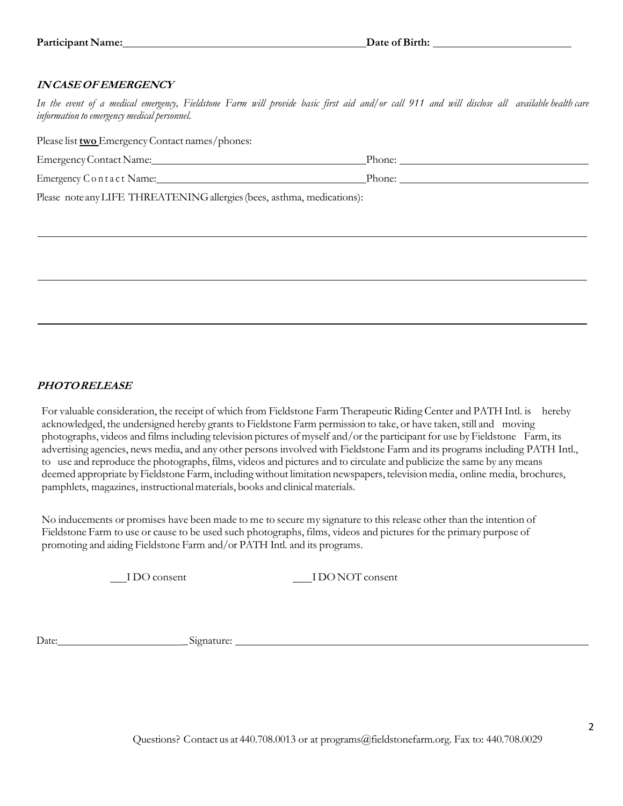### **IN CASE OF EMERGENCY**

*In the event of a medical emergency, Fieldstone Farm will provide basic first aid and/or call 911 and will disclose all available health care information to emergency medical personnel.*

Please list **two** Emergency Contact names/phones:

| Emergency Contact Name:                                                  | Phone: |
|--------------------------------------------------------------------------|--------|
| Emergency C o n t a c t Name:                                            | Phone: |
| $Dloose$ note any LIEE THREATENING ellergies (bees, estame modisations). |        |

Please note any LIFE THREATENING allergies (bees, asthma, medications):

## **PHOTO RELEASE**

For valuable consideration, the receipt of which from Fieldstone Farm Therapeutic Riding Center and PATH Intl. is hereby acknowledged, the undersigned hereby grants to Fieldstone Farm permission to take, or have taken, still and moving photographs, videos and films including television pictures of myself and/or the participant for use by Fieldstone Farm, its advertising agencies, news media, and any other persons involved with Fieldstone Farm and its programs including PATH Intl., to use and reproduce the photographs, films, videos and pictures and to circulate and publicize the same by any means deemed appropriate by Fieldstone Farm, including without limitation newspapers, television media, online media, brochures, pamphlets, magazines, instructional materials, books and clinical materials.

No inducements or promises have been made to me to secure my signature to this release other than the intention of Fieldstone Farm to use or cause to be used such photographs, films, videos and pictures for the primary purpose of promoting and aiding Fieldstone Farm and/or PATH Intl. and its programs.

I DO consent I DO NOT consent

Date: Signature: Signature: 2004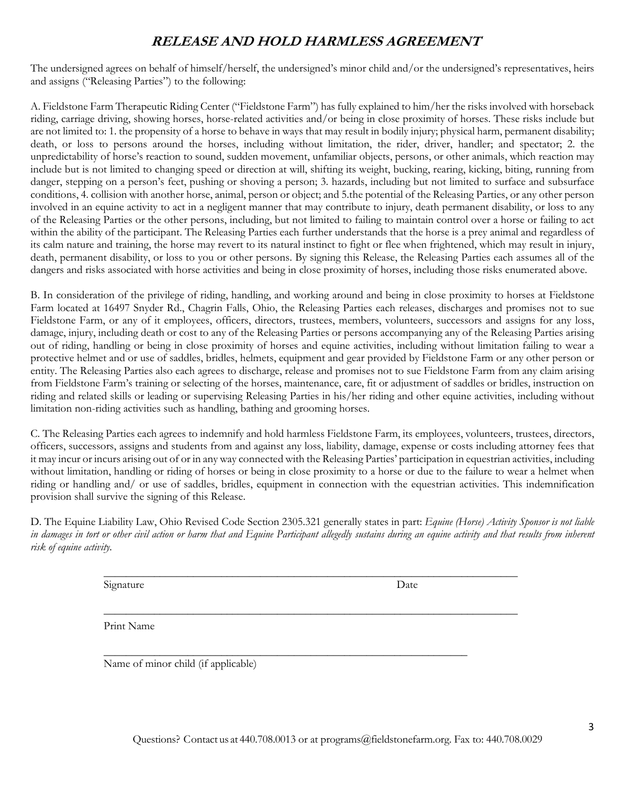# **RELEASE AND HOLD HARMLESS AGREEMENT**

The undersigned agrees on behalf of himself/herself, the undersigned's minor child and/or the undersigned's representatives, heirs and assigns ("Releasing Parties") to the following:

A. Fieldstone Farm Therapeutic Riding Center ("Fieldstone Farm") has fully explained to him/her the risks involved with horseback riding, carriage driving, showing horses, horse-related activities and/or being in close proximity of horses. These risks include but are not limited to: 1. the propensity of a horse to behave in ways that may result in bodily injury; physical harm, permanent disability; death, or loss to persons around the horses, including without limitation, the rider, driver, handler; and spectator; 2. the unpredictability of horse's reaction to sound, sudden movement, unfamiliar objects, persons, or other animals, which reaction may include but is not limited to changing speed or direction at will, shifting its weight, bucking, rearing, kicking, biting, running from danger, stepping on a person's feet, pushing or shoving a person; 3. hazards, including but not limited to surface and subsurface conditions, 4. collision with another horse, animal, person or object; and 5.the potential of the Releasing Parties, or any other person involved in an equine activity to act in a negligent manner that may contribute to injury, death permanent disability, or loss to any of the Releasing Parties or the other persons, including, but not limited to failing to maintain control over a horse or failing to act within the ability of the participant. The Releasing Parties each further understands that the horse is a prey animal and regardless of its calm nature and training, the horse may revert to its natural instinct to fight or flee when frightened, which may result in injury, death, permanent disability, or loss to you or other persons. By signing this Release, the Releasing Parties each assumes all of the dangers and risks associated with horse activities and being in close proximity of horses, including those risks enumerated above.

B. In consideration of the privilege of riding, handling, and working around and being in close proximity to horses at Fieldstone Farm located at 16497 Snyder Rd., Chagrin Falls, Ohio, the Releasing Parties each releases, discharges and promises not to sue Fieldstone Farm, or any of it employees, officers, directors, trustees, members, volunteers, successors and assigns for any loss, damage, injury, including death or cost to any of the Releasing Parties or persons accompanying any of the Releasing Parties arising out of riding, handling or being in close proximity of horses and equine activities, including without limitation failing to wear a protective helmet and or use of saddles, bridles, helmets, equipment and gear provided by Fieldstone Farm or any other person or entity. The Releasing Parties also each agrees to discharge, release and promises not to sue Fieldstone Farm from any claim arising from Fieldstone Farm's training or selecting of the horses, maintenance, care, fit or adjustment of saddles or bridles, instruction on riding and related skills or leading or supervising Releasing Parties in his/her riding and other equine activities, including without limitation non-riding activities such as handling, bathing and grooming horses.

C. The Releasing Parties each agrees to indemnify and hold harmless Fieldstone Farm, its employees, volunteers, trustees, directors, officers, successors, assigns and students from and against any loss, liability, damage, expense or costs including attorney fees that it may incur or incurs arising out of or in any way connected with the Releasing Parties' participation in equestrian activities, including without limitation, handling or riding of horses or being in close proximity to a horse or due to the failure to wear a helmet when riding or handling and/ or use of saddles, bridles, equipment in connection with the equestrian activities. This indemnification provision shall survive the signing of this Release.

D. The Equine Liability Law, Ohio Revised Code Section 2305.321 generally states in part: *Equine (Horse) Activity Sponsor is not liable in damages in tort or other civil action or harm that and Equine Participant allegedly sustains during an equine activity and that results from inherent risk of equine activity.* 

\_\_\_\_\_\_\_\_\_\_\_\_\_\_\_\_\_\_\_\_\_\_\_\_\_\_\_\_\_\_\_\_\_\_\_\_\_\_\_\_\_\_\_\_\_\_\_\_\_\_\_\_\_\_\_\_\_\_\_\_\_\_\_\_\_\_\_\_\_\_\_\_\_\_

 $\mathcal{L}_\text{max} = \frac{1}{2} \sum_{i=1}^{n} \frac{1}{2} \sum_{j=1}^{n} \frac{1}{2} \sum_{j=1}^{n} \frac{1}{2} \sum_{j=1}^{n} \frac{1}{2} \sum_{j=1}^{n} \frac{1}{2} \sum_{j=1}^{n} \frac{1}{2} \sum_{j=1}^{n} \frac{1}{2} \sum_{j=1}^{n} \frac{1}{2} \sum_{j=1}^{n} \frac{1}{2} \sum_{j=1}^{n} \frac{1}{2} \sum_{j=1}^{n} \frac{1}{2} \sum_{j=1}^{n} \frac{1$ 

Signature Date

Print Name

 $\frac{1}{2}$  ,  $\frac{1}{2}$  ,  $\frac{1}{2}$  ,  $\frac{1}{2}$  ,  $\frac{1}{2}$  ,  $\frac{1}{2}$  ,  $\frac{1}{2}$  ,  $\frac{1}{2}$  ,  $\frac{1}{2}$  ,  $\frac{1}{2}$  ,  $\frac{1}{2}$  ,  $\frac{1}{2}$  ,  $\frac{1}{2}$  ,  $\frac{1}{2}$  ,  $\frac{1}{2}$  ,  $\frac{1}{2}$  ,  $\frac{1}{2}$  ,  $\frac{1}{2}$  ,  $\frac{1$ Name of minor child (if applicable)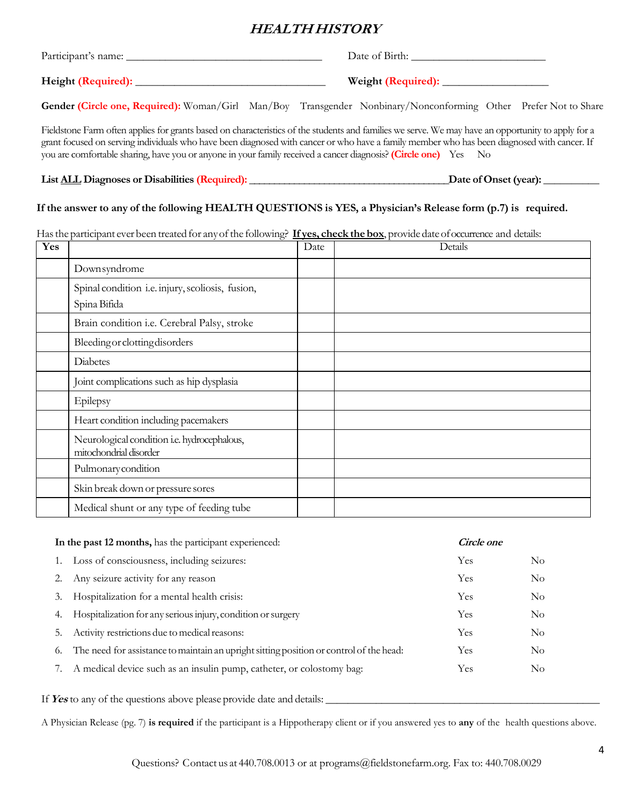# **HEALTH HISTORY**

| Participant's name: | Date of Birth:                                                                                                  |
|---------------------|-----------------------------------------------------------------------------------------------------------------|
|                     | Weight (Required):                                                                                              |
|                     | Gender (Circle one, Required): Woman/Girl Man/Boy Transgender Nonbinary/Nonconforming Other Prefer Not to Share |

Fieldstone Farm often applies for grants based on characteristics of the students and families we serve. We may have an opportunity to apply for a grant focused on serving individuals who have been diagnosed with cancer or who have a family member who has been diagnosed with cancer. If you are comfortable sharing, have you or anyone in your family received a cancer diagnosis? **(Circle one)** Yes No

**List ALL Diagnoses or Disabilities (Required): \_\_\_\_\_\_\_\_\_\_\_\_\_\_\_\_\_\_\_\_\_\_\_\_\_\_\_\_\_\_\_\_\_\_\_\_\_\_\_\_Date of Onset (year): \_\_\_\_\_\_\_\_\_\_**

#### **If the answer to any of the following HEALTH QUESTIONS is YES, a Physician's Release form (p.7) is required.**

Has the participant ever been treated for any of the following? **If yes, check the box**, provide date of occurrence and details:

| Yes |                                                                       | Date | Details |
|-----|-----------------------------------------------------------------------|------|---------|
|     | Downsyndrome                                                          |      |         |
|     | Spinal condition i.e. injury, scoliosis, fusion,<br>Spina Bifida      |      |         |
|     | Brain condition i.e. Cerebral Palsy, stroke                           |      |         |
|     | Bleeding or clotting disorders                                        |      |         |
|     | Diabetes                                                              |      |         |
|     | Joint complications such as hip dysplasia                             |      |         |
|     | Epilepsy                                                              |      |         |
|     | Heart condition including pacemakers                                  |      |         |
|     | Neurological condition i.e. hydrocephalous,<br>mitochondrial disorder |      |         |
|     | Pulmonary condition                                                   |      |         |
|     | Skin break down or pressure sores                                     |      |         |
|     | Medical shunt or any type of feeding tube                             |      |         |

| In the past 12 months, has the participant experienced: |                                                                                         | Circle one |                |
|---------------------------------------------------------|-----------------------------------------------------------------------------------------|------------|----------------|
|                                                         | Loss of consciousness, including seizures:                                              | Yes        | No             |
|                                                         | Any seizure activity for any reason                                                     | Yes        | $\rm No$       |
| 3.                                                      | Hospitalization for a mental health crisis:                                             | Yes        | N <sub>o</sub> |
| 4.                                                      | Hospitalization for any serious injury, condition or surgery                            | Yes        | N <sub>o</sub> |
| 5.                                                      | Activity restrictions due to medical reasons:                                           | Yes        | N <sub>o</sub> |
| 6.                                                      | The need for assistance to maintain an upright sitting position or control of the head: | Yes        | $\rm No$       |
|                                                         | A medical device such as an insulin pump, catheter, or colostomy bag:                   | Yes        | No             |

If Yes to any of the questions above please provide date and details:

A Physician Release (pg. 7) **is required** if the participant is a Hippotherapy client or if you answered yes to **any** of the health questions above.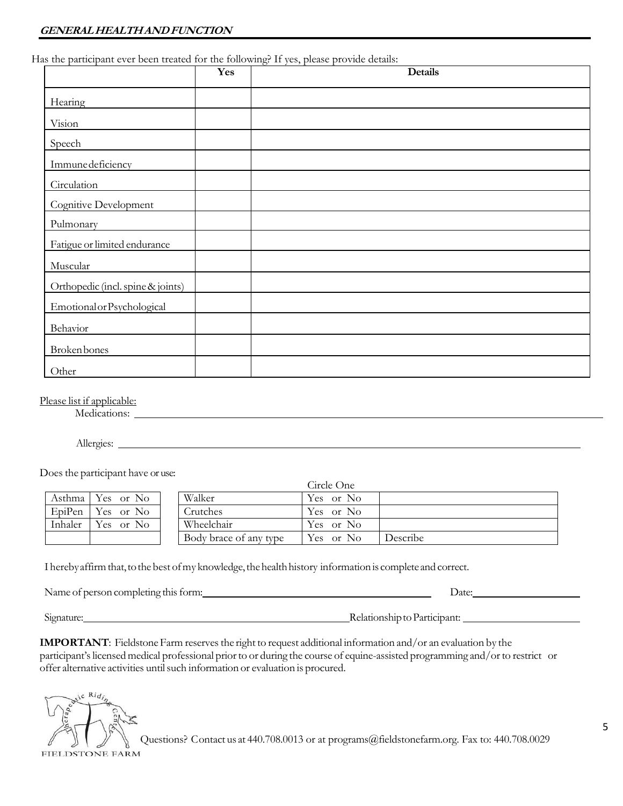Has the participant ever been treated for the following? If yes, please provide details:

| r<br>                             | Yes | TOT<br>$\sim$ $\sim$ $\sim$ $\sim$ $\sim$ $\sim$ $\sim$ $\sim$<br><b>Details</b> |
|-----------------------------------|-----|----------------------------------------------------------------------------------|
| Hearing                           |     |                                                                                  |
| Vision                            |     |                                                                                  |
| Speech                            |     |                                                                                  |
| Immune deficiency                 |     |                                                                                  |
| Circulation                       |     |                                                                                  |
| Cognitive Development             |     |                                                                                  |
| Pulmonary                         |     |                                                                                  |
| Fatigue or limited endurance      |     |                                                                                  |
| Muscular                          |     |                                                                                  |
| Orthopedic (incl. spine & joints) |     |                                                                                  |
| Emotional or Psychological        |     |                                                                                  |
| Behavior                          |     |                                                                                  |
| Broken bones                      |     |                                                                                  |
| Other                             |     |                                                                                  |

Please list if applicable:

Medications:

Allergies:

Does the participant have or use:

|         |                  |                        | Circle One |          |
|---------|------------------|------------------------|------------|----------|
|         | Asthma Yes or No | Walker                 | Yes or No  |          |
| EpiPen  | Yes or No        | Crutches               | Yes or No  |          |
| Inhaler | Yes or No        | Wheelchair             | Yes or No  |          |
|         |                  | Body brace of any type | Yes or No  | Describe |

I hereby affirm that, to the best of my knowledge, the health history information is complete and correct.

Name of person completing this form: Date: Date: Date:

Signature: Relationship to Participant:

**IMPORTANT**: Fieldstone Farm reserves the right to request additional information and/or an evaluation by the participant's licensed medical professional prior to or during the course of equine-assisted programming and/or to restrict or offer alternative activities until such information or evaluation is procured.

**FIELDSTONE FARM** 

 $i \in$  Rid

Questions? Contact us at 440.708.0013 or at programs@fieldstonefarm.org. Fax to: 440.708.0029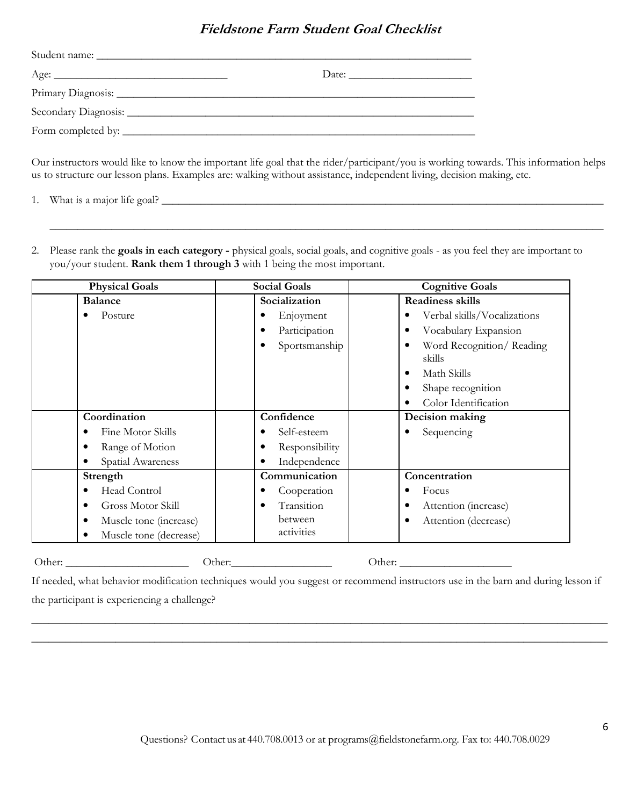## **Fieldstone Farm Student Goal Checklist**

Our instructors would like to know the important life goal that the rider/participant/you is working towards. This information helps us to structure our lesson plans. Examples are: walking without assistance, independent living, decision making, etc.

 $\overline{\phantom{a}}$  , and the contract of the contract of the contract of the contract of the contract of the contract of the contract of the contract of the contract of the contract of the contract of the contract of the contrac

1. What is a major life goal? \_\_\_\_\_\_\_\_\_\_\_\_\_\_\_\_\_\_\_\_\_\_\_\_\_\_\_\_\_\_\_\_\_\_\_\_\_\_\_\_\_\_\_\_\_\_\_\_\_\_\_\_\_\_\_\_\_\_\_\_\_\_\_\_\_\_\_\_\_\_\_\_\_\_\_\_\_\_\_

2. Please rank the **goals in each category -** physical goals, social goals, and cognitive goals - as you feel they are important to you/your student. **Rank them 1 through 3** with 1 being the most important.

| <b>Physical Goals</b>       | <b>Social Goals</b> | <b>Cognitive Goals</b>             |
|-----------------------------|---------------------|------------------------------------|
| <b>Balance</b>              | Socialization       | <b>Readiness skills</b>            |
| Posture                     | Enjoyment           | Verbal skills/Vocalizations        |
|                             | Participation       | Vocabulary Expansion               |
|                             | Sportsmanship       | Word Recognition/Reading<br>skills |
|                             |                     | Math Skills<br>٠                   |
|                             |                     | Shape recognition<br>٠             |
|                             |                     | Color Identification               |
| Coordination                | Confidence          | Decision making                    |
| Fine Motor Skills           | Self-esteem         | Sequencing                         |
| Range of Motion<br>٠        | Responsibility      |                                    |
| Spatial Awareness           | Independence        |                                    |
| Strength                    | Communication       | Concentration                      |
| Head Control                | Cooperation         | Focus                              |
| Gross Motor Skill<br>٠      | Transition          | Attention (increase)               |
| Muscle tone (increase)<br>٠ | between             | Attention (decrease)<br>٠          |
| Muscle tone (decrease)      | activities          |                                    |
| Other:                      |                     | Other:                             |

If needed, what behavior modification techniques would you suggest or recommend instructors use in the barn and during lesson if the participant is experiencing a challenge?

\_\_\_\_\_\_\_\_\_\_\_\_\_\_\_\_\_\_\_\_\_\_\_\_\_\_\_\_\_\_\_\_\_\_\_\_\_\_\_\_\_\_\_\_\_\_\_\_\_\_\_\_\_\_\_\_\_\_\_\_\_\_\_\_\_\_\_\_\_\_\_\_\_\_\_\_\_\_\_\_\_\_\_\_\_\_\_\_\_\_\_\_\_\_\_\_\_\_\_\_\_\_\_ \_\_\_\_\_\_\_\_\_\_\_\_\_\_\_\_\_\_\_\_\_\_\_\_\_\_\_\_\_\_\_\_\_\_\_\_\_\_\_\_\_\_\_\_\_\_\_\_\_\_\_\_\_\_\_\_\_\_\_\_\_\_\_\_\_\_\_\_\_\_\_\_\_\_\_\_\_\_\_\_\_\_\_\_\_\_\_\_\_\_\_\_\_\_\_\_\_\_\_\_\_\_\_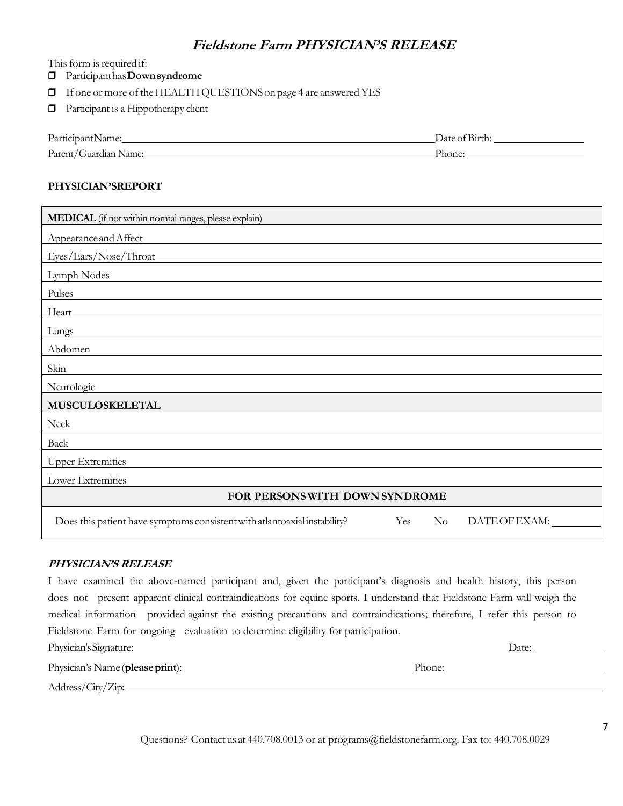## **Fieldstone Farm PHYSICIAN'S RELEASE**

This form is required if:

- Participant has **Down syndrome**
- If one or more of the HEALTH QUESTIONS on page 4 are answered YES
- **Participant is a Hippotherapy client**

| Participant.          | $\sim$ $\sim$ $\sim$ |
|-----------------------|----------------------|
| :Name:                | Jate of Birth:       |
| Parent/Guardian Name: | Phone:               |

#### **PHYSICIAN'SREPORT**

| MEDICAL (if not within normal ranges, please explain)                                                       |
|-------------------------------------------------------------------------------------------------------------|
| Appearance and Affect                                                                                       |
| Eyes/Ears/Nose/Throat                                                                                       |
| Lymph Nodes                                                                                                 |
| Pulses                                                                                                      |
| Heart                                                                                                       |
| Lungs                                                                                                       |
| Abdomen                                                                                                     |
| Skin                                                                                                        |
| Neurologic                                                                                                  |
| MUSCULOSKELETAL                                                                                             |
| Neck                                                                                                        |
| Back                                                                                                        |
| <b>Upper Extremities</b>                                                                                    |
| Lower Extremities                                                                                           |
| FOR PERSONS WITH DOWN SYNDROME                                                                              |
| Does this patient have symptoms consistent with atlantoaxial instability?<br>Yes<br>DATEOFEXAM:<br>$\rm No$ |

#### **PHYSICIAN'S RELEASE**

I have examined the above-named participant and, given the participant's diagnosis and health history, this person does not present apparent clinical contraindications for equine sports. I understand that Fieldstone Farm will weigh the medical information provided against the existing precautions and contraindications; therefore, I refer this person to Fieldstone Farm for ongoing evaluation to determine eligibility for participation.

| Physician's Signature:           | Date:  |
|----------------------------------|--------|
| Physician's Name (please print): | Phone: |
| Address/City/Zip:                |        |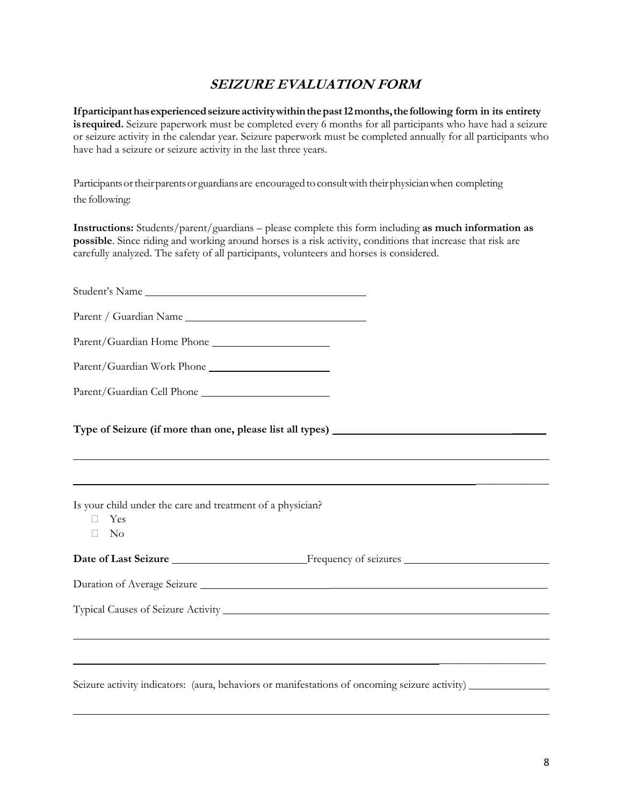# **SEIZURE EVALUATION FORM**

**If participant has experienced seizure activity within the past 12 months, the following form in its entirety is required.** Seizure paperwork must be completed every 6 months for all participants who have had a seizure or seizure activity in the calendar year. Seizure paperwork must be completed annually for all participants who have had a seizure or seizure activity in the last three years.

Participants or their parents or guardians are encouraged to consult with their physician when completing the following:

**Instructions:** Students/parent/guardians – please complete this form including **as much information as possible**. Since riding and working around horses is a risk activity, conditions that increase that risk are carefully analyzed. The safety of all participants, volunteers and horses is considered.

| Student's Name                                                                                |  |
|-----------------------------------------------------------------------------------------------|--|
| Parent / Guardian Name                                                                        |  |
|                                                                                               |  |
| Parent/Guardian Work Phone                                                                    |  |
|                                                                                               |  |
|                                                                                               |  |
|                                                                                               |  |
| Is your child under the care and treatment of a physician?<br>Yes<br>$\rm No$                 |  |
|                                                                                               |  |
| Duration of Average Seizure                                                                   |  |
|                                                                                               |  |
|                                                                                               |  |
|                                                                                               |  |
| Seizure activity indicators: (aura, behaviors or manifestations of oncoming seizure activity) |  |

L